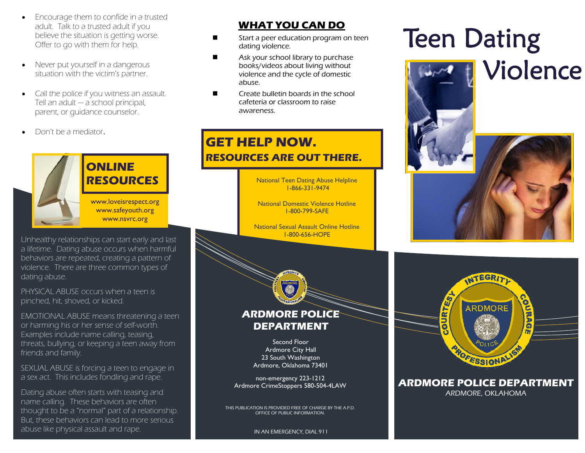- $\bullet$  Encourage them to confide in a trusted adult. Talk to a trusted adult if you believe the situation is getting worse. Offer to go with them for help.
- $\bullet$  Never put yourself in a dangerous situation with the victim's partner.
- $\bullet$  Call the police if you witness an assault. Tell an adult — a school principal, parent, or guidance counselor.
- $\bullet$ Don't be a mediator.



# **ONLINE RESOURCES**

www.loveisrespect.org www.safeyouth.org www.nsvrc.org

Unhealthy relationships can start early and last a lifetime. Dating abuse occurs when harmful behaviors are repeated, creating a pattern of violence. There are three common types of dating abuse.

PHYSICAL ABUSE occurs when a teen is pinched, hit, shoved, or kicked.

EMOTIONAL ABUSE means threatening a teen or harming his or her sense of self-worth. Examples include name calling, teasing, threats, bullying, or keeping a teen away from friends and family.

SEXUAL ABUSE is forcing a teen to engage in a sex act. This includes fondling and rape.

Dating abuse often starts with teasing and name calling. These behaviors are often thought to be a "normal" part of a relationship. But, these behaviors can lead to more serious abuse like physical assault and rape.

## **WHAT YOU CAN DO**

- $\blacksquare$  Start a peer education program on teen dating violence.
- $\blacksquare$  Ask your school library to purchase books/videos about living without violence and the cycle of domestic abuse.
- $\blacksquare$  Create bulletin boards in the school cafeteria or classroom to raise awareness.

## **GET HELP NOW. RESOURCES ARE OUT THERE.**

National Teen Dating Abuse Helpline 1-866-331-9474

National Domestic Violence Hotline 1-800-799-SAFE

National Sexual Assault Online Hotline 1-800-656-HOPE



Second Floor Ardmore City Hall 23 South Washington Ardmore, Oklahoma 73401

non-emergency 223-1212 Ardmore CrimeStoppers 580-504-4LAW

THIS PUBLICATION IS PROVIDED FREE OF CHARGE BY THE A.P.D. OFFICE OF PUBLIC INFORMATION.

#### IN AN EMERGENCY, DIAL 911

# Teen Dating Violence





**ARDMORE POLICE DEPARTMENT** ARDMORE, OKLAHOMA